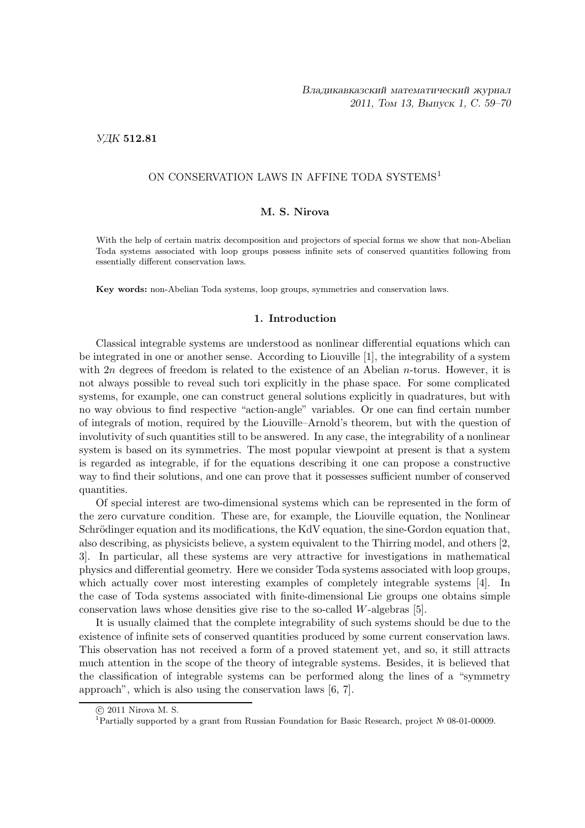## УДК 512.81

## ON CONSERVATION LAWS IN AFFINE TODA SYSTEMS<sup>1</sup>

### M. S. Nirova

With the help of certain matrix decomposition and projectors of special forms we show that non-Abelian Toda systems associated with loop groups possess infinite sets of conserved quantities following from essentially different conservation laws.

Key words: non-Abelian Toda systems, loop groups, symmetries and conservation laws.

## 1. Introduction

Classical integrable systems are understood as nonlinear differential equations which can be integrated in one or another sense. According to Liouville [1], the integrability of a system with  $2n$  degrees of freedom is related to the existence of an Abelian *n*-torus. However, it is not always possible to reveal such tori explicitly in the phase space. For some complicated systems, for example, one can construct general solutions explicitly in quadratures, but with no way obvious to find respective "action-angle" variables. Or one can find certain number of integrals of motion, required by the Liouville–Arnold's theorem, but with the question of involutivity of such quantities still to be answered. In any case, the integrability of a nonlinear system is based on its symmetries. The most popular viewpoint at present is that a system is regarded as integrable, if for the equations describing it one can propose a constructive way to find their solutions, and one can prove that it possesses sufficient number of conserved quantities.

Of special interest are two-dimensional systems which can be represented in the form of the zero curvature condition. These are, for example, the Liouville equation, the Nonlinear Schrödinger equation and its modifications, the KdV equation, the sine-Gordon equation that, also describing, as physicists believe, a system equivalent to the Thirring model, and others [2, 3]. In particular, all these systems are very attractive for investigations in mathematical physics and differential geometry. Here we consider Toda systems associated with loop groups, which actually cover most interesting examples of completely integrable systems [4]. In the case of Toda systems associated with finite-dimensional Lie groups one obtains simple conservation laws whose densities give rise to the so-called W-algebras [5].

It is usually claimed that the complete integrability of such systems should be due to the existence of infinite sets of conserved quantities produced by some current conservation laws. This observation has not received a form of a proved statement yet, and so, it still attracts much attention in the scope of the theory of integrable systems. Besides, it is believed that the classification of integrable systems can be performed along the lines of a "symmetry approach", which is also using the conservation laws [6, 7].

c 2011 Nirova M. S.

<sup>1</sup>Partially supported by a grant from Russian Foundation for Basic Research, project № 08-01-00009.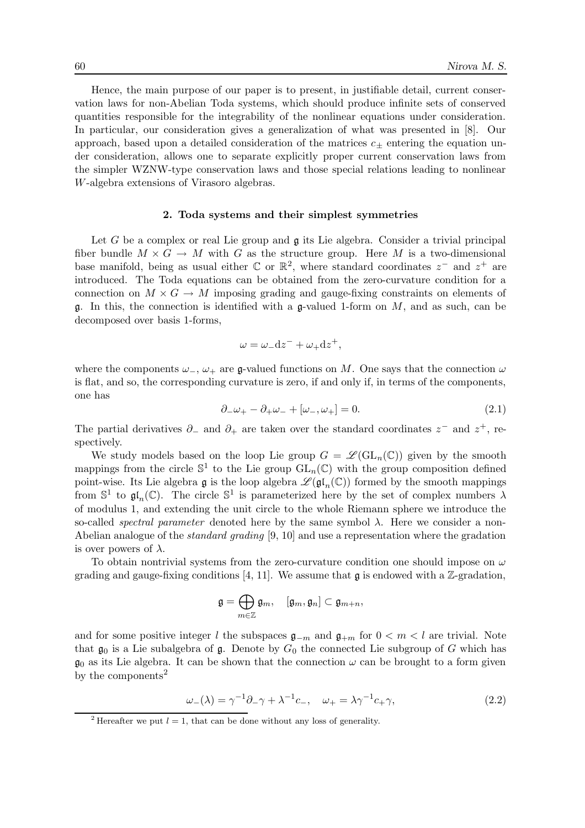Hence, the main purpose of our paper is to present, in justifiable detail, current conservation laws for non-Abelian Toda systems, which should produce infinite sets of conserved quantities responsible for the integrability of the nonlinear equations under consideration. In particular, our consideration gives a generalization of what was presented in [8]. Our approach, based upon a detailed consideration of the matrices  $c_{+}$  entering the equation under consideration, allows one to separate explicitly proper current conservation laws from the simpler WZNW-type conservation laws and those special relations leading to nonlinear W-algebra extensions of Virasoro algebras.

### 2. Toda systems and their simplest symmetries

Let G be a complex or real Lie group and  $\mathfrak g$  its Lie algebra. Consider a trivial principal fiber bundle  $M \times G \to M$  with G as the structure group. Here M is a two-dimensional base manifold, being as usual either  $\mathbb C$  or  $\mathbb R^2$ , where standard coordinates  $z^-$  and  $z^+$  are introduced. The Toda equations can be obtained from the zero-curvature condition for a connection on  $M \times G \to M$  imposing grading and gauge-fixing constraints on elements of g. In this, the connection is identified with a g-valued 1-form on  $M$ , and as such, can be decomposed over basis 1-forms,

$$
\omega = \omega_- \mathrm{d}z^- + \omega_+ \mathrm{d}z^+,
$$

where the components  $\omega_-, \omega_+$  are g-valued functions on M. One says that the connection  $\omega$ is flat, and so, the corresponding curvature is zero, if and only if, in terms of the components, one has

$$
\partial_{-}\omega_{+} - \partial_{+}\omega_{-} + [\omega_{-}, \omega_{+}] = 0. \tag{2.1}
$$

The partial derivatives  $\partial_-\$  and  $\partial_+$  are taken over the standard coordinates  $z^-$  and  $z^+$ , respectively.

We study models based on the loop Lie group  $G = \mathscr{L}(\mathrm{GL}_n(\mathbb{C}))$  given by the smooth mappings from the circle  $\mathbb{S}^1$  to the Lie group  $GL_n(\mathbb{C})$  with the group composition defined point-wise. Its Lie algebra  $\mathfrak{g}$  is the loop algebra  $\mathscr{L}(\mathfrak{gl}_n(\mathbb{C}))$  formed by the smooth mappings from  $\mathbb{S}^1$  to  $\mathfrak{gl}_n(\mathbb{C})$ . The circle  $\mathbb{S}^1$  is parameterized here by the set of complex numbers  $\lambda$ of modulus 1, and extending the unit circle to the whole Riemann sphere we introduce the so-called *spectral parameter* denoted here by the same symbol  $\lambda$ . Here we consider a non-Abelian analogue of the standard grading [9, 10] and use a representation where the gradation is over powers of  $\lambda$ .

To obtain nontrivial systems from the zero-curvature condition one should impose on  $\omega$ grading and gauge-fixing conditions [4, 11]. We assume that  $\mathfrak g$  is endowed with a Z-gradation,

$$
\mathfrak{g}=\bigoplus_{m\in\mathbb{Z}}\mathfrak{g}_m,\quad [\mathfrak{g}_m,\mathfrak{g}_n]\subset \mathfrak{g}_{m+n},
$$

and for some positive integer l the subspaces  $\mathfrak{g}_{-m}$  and  $\mathfrak{g}_{+m}$  for  $0 < m < l$  are trivial. Note that  $\mathfrak{g}_0$  is a Lie subalgebra of  $\mathfrak{g}$ . Denote by  $G_0$  the connected Lie subgroup of G which has  $\mathfrak{g}_0$  as its Lie algebra. It can be shown that the connection  $\omega$  can be brought to a form given by the components<sup>2</sup>

$$
\omega_{-}(\lambda) = \gamma^{-1}\partial_{-}\gamma + \lambda^{-1}c_{-}, \quad \omega_{+} = \lambda\gamma^{-1}c_{+}\gamma,
$$
\n(2.2)

<sup>&</sup>lt;sup>2</sup> Hereafter we put  $l = 1$ , that can be done without any loss of generality.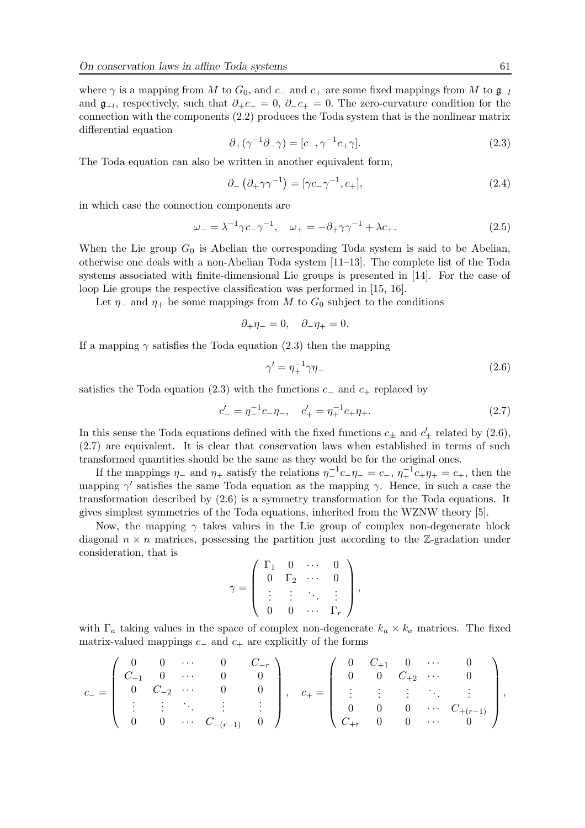where  $\gamma$  is a mapping from M to  $G_0$ , and  $c_-\$  and  $c_+$  are some fixed mappings from M to  $\mathfrak{g}_{-l}$ and  $\mathfrak{g}_{+l}$ , respectively, such that  $\partial_+ c_-=0$ ,  $\partial_- c_+=0$ . The zero-curvature condition for the connection with the components (2.2) produces the Toda system that is the nonlinear matrix differential equation

$$
\partial_+(\gamma^{-1}\partial_-\gamma) = [c_-, \gamma^{-1}c_+\gamma].\tag{2.3}
$$

The Toda equation can also be written in another equivalent form,

$$
\partial_{-}\left(\partial_{+}\gamma\gamma^{-1}\right) = \left[\gamma c_{-}\gamma^{-1}, c_{+}\right],\tag{2.4}
$$

in which case the connection components are

$$
\omega_{-} = \lambda^{-1} \gamma c_{-} \gamma^{-1}, \quad \omega_{+} = -\partial_{+} \gamma \gamma^{-1} + \lambda c_{+}.
$$
 (2.5)

When the Lie group  $G_0$  is Abelian the corresponding Toda system is said to be Abelian, otherwise one deals with a non-Abelian Toda system [11–13]. The complete list of the Toda systems associated with finite-dimensional Lie groups is presented in [14]. For the case of loop Lie groups the respective classification was performed in [15, 16].

Let  $\eta$ <sub>-</sub> and  $\eta$ <sup>+</sup> be some mappings from M to  $G_0$  subject to the conditions

$$
\partial_+\eta_-=0,\quad \partial_-\eta_+=0.
$$

If a mapping  $\gamma$  satisfies the Toda equation (2.3) then the mapping

$$
\gamma' = \eta_+^{-1} \gamma \eta_- \tag{2.6}
$$

satisfies the Toda equation (2.3) with the functions  $c_-\$  and  $c_+$  replaced by

$$
c'_{-} = \eta_{-}^{-1}c_{-}\eta_{-}, \quad c'_{+} = \eta_{+}^{-1}c_{+}\eta_{+}.
$$
\n(2.7)

In this sense the Toda equations defined with the fixed functions  $c_{\pm}$  and  $c'_{\pm}$  related by (2.6), (2.7) are equivalent. It is clear that conservation laws when established in terms of such transformed quantities should be the same as they would be for the original ones.

If the mappings  $\eta_-$  and  $\eta_+$  satisfy the relations  $\eta_-^{-1}c_-\eta_- = c_-, \eta_+^{-1}c_+\eta_+ = c_+$ , then the mapping  $\gamma'$  satisfies the same Toda equation as the mapping  $\gamma$ . Hence, in such a case the transformation described by (2.6) is a symmetry transformation for the Toda equations. It gives simplest symmetries of the Toda equations, inherited from the WZNW theory [5].

Now, the mapping  $\gamma$  takes values in the Lie group of complex non-degenerate block diagonal  $n \times n$  matrices, possessing the partition just according to the Z-gradation under consideration, that is

$$
\gamma = \left(\begin{array}{cccc} \Gamma_1 & 0 & \cdots & 0 \\ 0 & \Gamma_2 & \cdots & 0 \\ \vdots & \vdots & \ddots & \vdots \\ 0 & 0 & \cdots & \Gamma_r \end{array}\right),
$$

with  $\Gamma_a$  taking values in the space of complex non-degenerate  $k_a \times k_a$  matrices. The fixed matrix-valued mappings  $c_-\$  and  $c_+$  are explicitly of the forms

$$
c_{-} = \left(\begin{array}{ccccc} 0 & 0 & \cdots & 0 & C_{-r} \\ C_{-1} & 0 & \cdots & 0 & 0 \\ 0 & C_{-2} & \cdots & 0 & 0 \\ \vdots & \vdots & \ddots & \vdots & \vdots \\ 0 & 0 & \cdots & C_{-(r-1)} & 0 \end{array}\right), \quad c_{+} = \left(\begin{array}{ccccc} 0 & C_{+1} & 0 & \cdots & 0 \\ 0 & 0 & C_{+2} & \cdots & 0 \\ \vdots & \vdots & \vdots & \ddots & \vdots \\ 0 & 0 & 0 & \cdots & C_{+(r-1)} \\ C_{+r} & 0 & 0 & \cdots & 0 \end{array}\right),
$$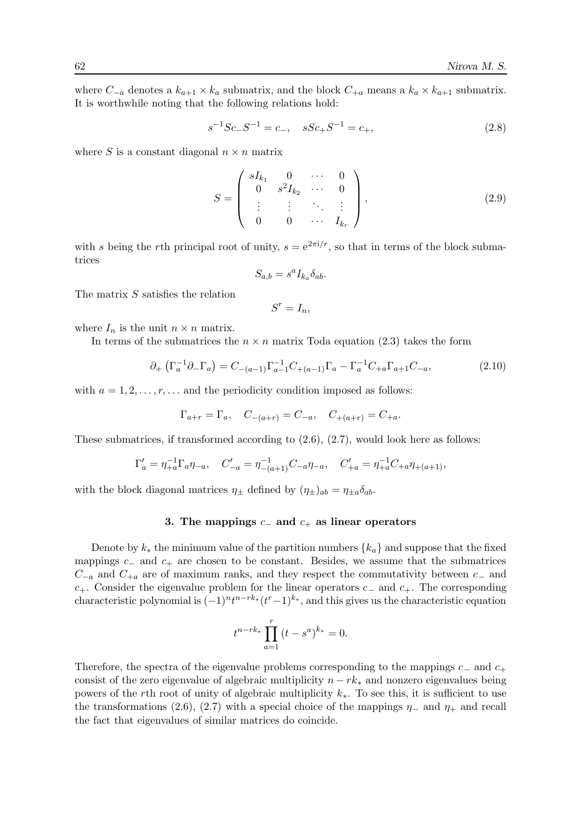where  $C_{-a}$  denotes a  $k_{a+1} \times k_a$  submatrix, and the block  $C_{+a}$  means a  $k_a \times k_{a+1}$  submatrix. It is worthwhile noting that the following relations hold:

$$
s^{-1}Sc_-S^{-1} = c_-, \quad sSc_+S^{-1} = c_+, \tag{2.8}
$$

where S is a constant diagonal  $n \times n$  matrix

$$
S = \begin{pmatrix} sI_{k_1} & 0 & \cdots & 0 \\ 0 & s^2I_{k_2} & \cdots & 0 \\ \vdots & \vdots & \ddots & \vdots \\ 0 & 0 & \cdots & I_{k_r} \end{pmatrix},
$$
(2.9)

with s being the rth principal root of unity,  $s = e^{2\pi i/r}$ , so that in terms of the block submatrices

$$
S_{a,b} = s^a I_{k_a} \delta_{ab}.
$$

The matrix S satisfies the relation

 $S^r = I_n$ 

where  $I_n$  is the unit  $n \times n$  matrix.

In terms of the submatrices the  $n \times n$  matrix Toda equation (2.3) takes the form

$$
\partial_{+} \left( \Gamma_{a}^{-1} \partial_{-} \Gamma_{a} \right) = C_{-(a-1)} \Gamma_{a-1}^{-1} C_{+(a-1)} \Gamma_{a} - \Gamma_{a}^{-1} C_{+a} \Gamma_{a+1} C_{-a}, \tag{2.10}
$$

with  $a = 1, 2, \ldots, r, \ldots$  and the periodicity condition imposed as follows:

$$
\Gamma_{a+r} = \Gamma_a
$$
,  $C_{-(a+r)} = C_{-a}$ ,  $C_{+(a+r)} = C_{+a}$ .

These submatrices, if transformed according to (2.6), (2.7), would look here as follows:

$$
\Gamma'_a = \eta_{+a}^{-1} \Gamma_a \eta_{-a}, \quad C'_{-a} = \eta_{-(a+1)}^{-1} C_{-a} \eta_{-a}, \quad C'_{+a} = \eta_{+a}^{-1} C_{+a} \eta_{+(a+1)},
$$

with the block diagonal matrices  $\eta_{\pm}$  defined by  $(\eta_{\pm})_{ab} = \eta_{\pm a} \delta_{ab}$ .

## 3. The mappings  $c_-\$  and  $c_+\$  as linear operators

Denote by  $k_*$  the minimum value of the partition numbers  $\{k_a\}$  and suppose that the fixed mappings  $c_$  and  $c_+$  are chosen to be constant. Besides, we assume that the submatrices  $C_{-a}$  and  $C_{+a}$  are of maximum ranks, and they respect the commutativity between  $c_-\$  and  $c_{+}$ . Consider the eigenvalue problem for the linear operators  $c_{-}$  and  $c_{+}$ . The corresponding characteristic polynomial is  $(-1)^n t^{n-rk_*}(t^r-1)^{k_*}$ , and this gives us the characteristic equation

$$
t^{n-rk_*} \prod_{a=1}^r (t - s^a)^{k_*} = 0.
$$

Therefore, the spectra of the eigenvalue problems corresponding to the mappings  $c_-\,$  and  $c_+\,$ consist of the zero eigenvalue of algebraic multiplicity  $n - rk_*$  and nonzero eigenvalues being powers of the rth root of unity of algebraic multiplicity  $k_*.$  To see this, it is sufficient to use the transformations (2.6), (2.7) with a special choice of the mappings  $\eta_-$  and  $\eta_+$  and recall the fact that eigenvalues of similar matrices do coincide.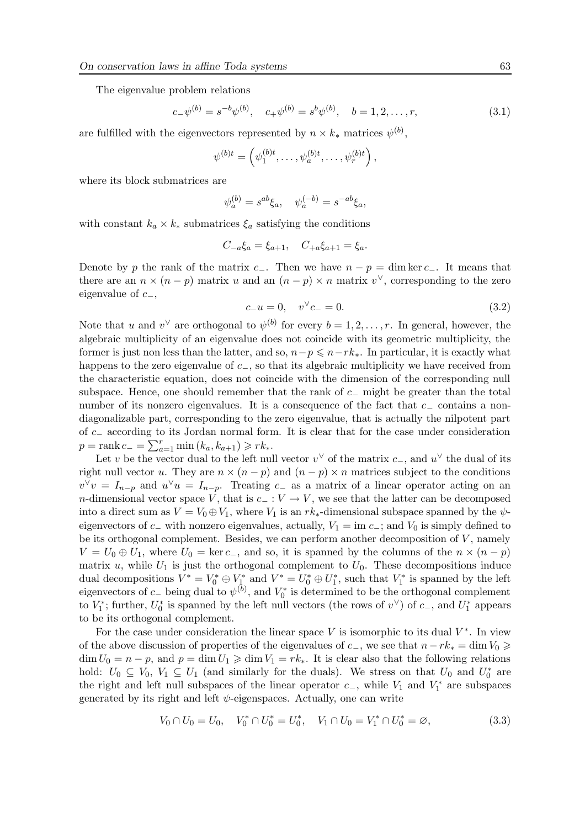The eigenvalue problem relations

$$
c_{-}\psi^{(b)} = s^{-b}\psi^{(b)}, \quad c_{+}\psi^{(b)} = s^{b}\psi^{(b)}, \quad b = 1, 2, \dots, r,
$$
\n(3.1)

are fulfilled with the eigenvectors represented by  $n \times k_*$  matrices  $\psi^{(b)}$ ,

$$
\psi^{(b)t} = \left(\psi_1^{(b)t}, \dots, \psi_a^{(b)t}, \dots, \psi_r^{(b)t}\right),
$$

where its block submatrices are

$$
\psi_a^{(b)} = s^{ab} \xi_a, \quad \psi_a^{(-b)} = s^{-ab} \xi_a,
$$

with constant  $k_a \times k_*$  submatrices  $\xi_a$  satisfying the conditions

$$
C_{-a}\xi_a = \xi_{a+1}, \quad C_{+a}\xi_{a+1} = \xi_a.
$$

Denote by p the rank of the matrix c−. Then we have  $n - p = \dim \ker c_-\$ . It means that there are an  $n \times (n-p)$  matrix u and an  $(n-p) \times n$  matrix v<sup> $\vee$ </sup>, corresponding to the zero eigenvalue of  $c_-,$ 

$$
c_{-}u = 0, \quad v^{\vee}c_{-} = 0. \tag{3.2}
$$

Note that u and  $v^{\vee}$  are orthogonal to  $\psi^{(b)}$  for every  $b = 1, 2, ..., r$ . In general, however, the algebraic multiplicity of an eigenvalue does not coincide with its geometric multiplicity, the former is just non less than the latter, and so,  $n-p \leq n-rk_*$ . In particular, it is exactly what happens to the zero eigenvalue of c−, so that its algebraic multiplicity we have received from the characteristic equation, does not coincide with the dimension of the corresponding null subspace. Hence, one should remember that the rank of c− might be greater than the total number of its nonzero eigenvalues. It is a consequence of the fact that c<sup>−</sup> contains a nondiagonalizable part, corresponding to the zero eigenvalue, that is actually the nilpotent part of c<sup>−</sup> according to its Jordan normal form. It is clear that for the case under consideration  $p = \text{rank } c_- = \sum_{a=1}^r \min (k_a, k_{a+1}) \geqslant rk_*$ .

Let v be the vector dual to the left null vector  $v^{\vee}$  of the matrix  $c_{-}$ , and  $u^{\vee}$  the dual of its right null vector u. They are  $n \times (n - p)$  and  $(n - p) \times n$  matrices subject to the conditions  $v^{\vee}v = I_{n-p}$  and  $u^{\vee}u = I_{n-p}$ . Treating c<sub>-</sub> as a matrix of a linear operator acting on an n-dimensional vector space V, that is  $c_+: V \to V$ , we see that the latter can be decomposed into a direct sum as  $V = V_0 \oplus V_1$ , where  $V_1$  is an  $rk_*$ -dimensional subspace spanned by the  $\psi$ eigenvectors of c− with nonzero eigenvalues, actually,  $V_1 = \text{im } c_-\$ ; and  $V_0$  is simply defined to be its orthogonal complement. Besides, we can perform another decomposition of  $V$ , namely  $V = U_0 \oplus U_1$ , where  $U_0 = \ker c_-,$  and so, it is spanned by the columns of the  $n \times (n - p)$ matrix u, while  $U_1$  is just the orthogonal complement to  $U_0$ . These decompositions induce dual decompositions  $V^* = V_0^* \oplus V_{1}^*$  and  $V^* = U_0^* \oplus U_1^*$ , such that  $V_1^*$  is spanned by the left eigenvectors of  $c_-\$  being dual to  $\psi^{(b)}$ , and  $V_0^*$  is determined to be the orthogonal complement to  $V_1^*$ ; further,  $U_0^*$  is spanned by the left null vectors (the rows of  $v^{\vee}$ ) of  $c_-,$  and  $U_1^*$  appears to be its orthogonal complement.

For the case under consideration the linear space V is isomorphic to its dual  $V^*$ . In view of the above discussion of properties of the eigenvalues of  $c_-,$  we see that  $n-rk_* = \dim V_0 \ge$  $\dim U_0 = n - p$ , and  $p = \dim U_1 \geq \dim V_1 = rk_*$ . It is clear also that the following relations hold:  $U_0 \subseteq V_0$ ,  $V_1 \subseteq U_1$  (and similarly for the duals). We stress on that  $U_0$  and  $U_0^*$  are the right and left null subspaces of the linear operator  $c_-,$  while  $V_1$  and  $V_1^*$  are subspaces generated by its right and left  $\psi$ -eigenspaces. Actually, one can write

$$
V_0 \cap U_0 = U_0, \quad V_0^* \cap U_0^* = U_0^*, \quad V_1 \cap U_0 = V_1^* \cap U_0^* = \varnothing,
$$
\n
$$
(3.3)
$$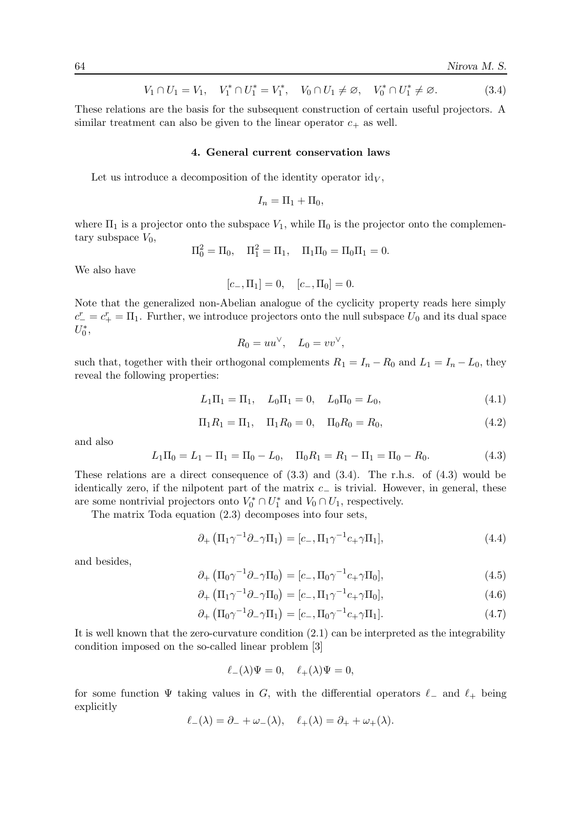$$
V_1 \cap U_1 = V_1, \quad V_1^* \cap U_1^* = V_1^*, \quad V_0 \cap U_1 \neq \emptyset, \quad V_0^* \cap U_1^* \neq \emptyset. \tag{3.4}
$$

These relations are the basis for the subsequent construction of certain useful projectors. A similar treatment can also be given to the linear operator  $c_{+}$  as well.

#### 4. General current conservation laws

Let us introduce a decomposition of the identity operator  $id_V$ ,

$$
I_n = \Pi_1 + \Pi_0,
$$

where  $\Pi_1$  is a projector onto the subspace  $V_1$ , while  $\Pi_0$  is the projector onto the complementary subspace  $V_0$ ,

$$
\Pi_0^2 = \Pi_0, \quad \Pi_1^2 = \Pi_1, \quad \Pi_1 \Pi_0 = \Pi_0 \Pi_1 = 0.
$$

We also have

$$
[c_-, \Pi_1] = 0, \quad [c_-, \Pi_0] = 0.
$$

Note that the generalized non-Abelian analogue of the cyclicity property reads here simply  $c_{-}^{r} = c_{+}^{r} = \Pi_{1}$ . Further, we introduce projectors onto the null subspace  $U_{0}$  and its dual space  $U_0^*$ ,

$$
R_0 = uu^\vee, \quad L_0 = vv^\vee,
$$

such that, together with their orthogonal complements  $R_1 = I_n - R_0$  and  $L_1 = I_n - L_0$ , they reveal the following properties:

$$
L_1\Pi_1 = \Pi_1, \quad L_0\Pi_1 = 0, \quad L_0\Pi_0 = L_0,\tag{4.1}
$$

$$
\Pi_1 R_1 = \Pi_1, \quad \Pi_1 R_0 = 0, \quad \Pi_0 R_0 = R_0,\tag{4.2}
$$

and also

$$
L_1\Pi_0 = L_1 - \Pi_1 = \Pi_0 - L_0, \quad \Pi_0 R_1 = R_1 - \Pi_1 = \Pi_0 - R_0.
$$
\n(4.3)

These relations are a direct consequence of (3.3) and (3.4). The r.h.s. of (4.3) would be identically zero, if the nilpotent part of the matrix  $c_-\$  is trivial. However, in general, these are some nontrivial projectors onto  $V_0^* \cap U_1^*$  and  $V_0 \cap U_1$ , respectively.

The matrix Toda equation (2.3) decomposes into four sets,

$$
\partial_{+} \left( \Pi_{1} \gamma^{-1} \partial_{-} \gamma \Pi_{1} \right) = [c_{-}, \Pi_{1} \gamma^{-1} c_{+} \gamma \Pi_{1}], \qquad (4.4)
$$

and besides,

$$
\partial_{+} \left( \Pi_{0} \gamma^{-1} \partial_{-} \gamma \Pi_{0} \right) = [c_{-}, \Pi_{0} \gamma^{-1} c_{+} \gamma \Pi_{0}], \qquad (4.5)
$$

$$
\partial_{+} \left( \Pi_{1} \gamma^{-1} \partial_{-} \gamma \Pi_{0} \right) = [c_{-}, \Pi_{1} \gamma^{-1} c_{+} \gamma \Pi_{0}], \qquad (4.6)
$$

$$
\partial_{+} \left( \Pi_{0} \gamma^{-1} \partial_{-} \gamma \Pi_{1} \right) = [c_{-}, \Pi_{0} \gamma^{-1} c_{+} \gamma \Pi_{1}]. \tag{4.7}
$$

It is well known that the zero-curvature condition (2.1) can be interpreted as the integrability condition imposed on the so-called linear problem [3]

$$
\ell_-(\lambda)\Psi=0, \quad \ell_+(\lambda)\Psi=0,
$$

for some function  $\Psi$  taking values in G, with the differential operators  $\ell_-\$  and  $\ell_+$  being explicitly

$$
\ell_{-}(\lambda) = \partial_{-} + \omega_{-}(\lambda), \quad \ell_{+}(\lambda) = \partial_{+} + \omega_{+}(\lambda).
$$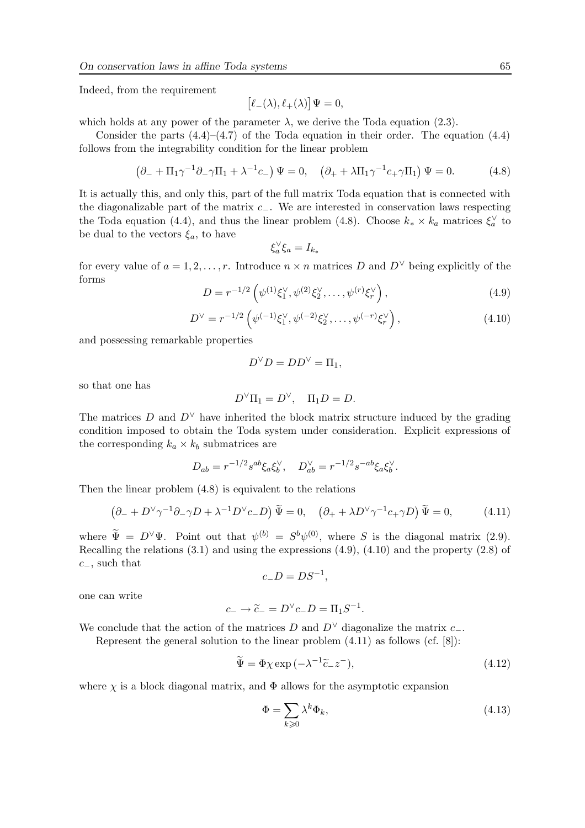Indeed, from the requirement

$$
\big[\ell_-(\lambda),\ell_+(\lambda)\big]\Psi=0,
$$

which holds at any power of the parameter  $\lambda$ , we derive the Toda equation (2.3).

Consider the parts  $(4.4)$ – $(4.7)$  of the Toda equation in their order. The equation  $(4.4)$ follows from the integrability condition for the linear problem

$$
\left(\partial_- + \Pi_1 \gamma^{-1} \partial_- \gamma \Pi_1 + \lambda^{-1} c_-\right) \Psi = 0, \quad \left(\partial_+ + \lambda \Pi_1 \gamma^{-1} c_+ \gamma \Pi_1\right) \Psi = 0. \tag{4.8}
$$

It is actually this, and only this, part of the full matrix Toda equation that is connected with the diagonalizable part of the matrix c−. We are interested in conservation laws respecting the Toda equation (4.4), and thus the linear problem (4.8). Choose  $k_* \times k_a$  matrices  $\xi_a^{\vee}$  to be dual to the vectors  $\xi_a$ , to have

$$
\xi_a^{\vee} \xi_a = I_{k_*}
$$

for every value of  $a = 1, 2, ..., r$ . Introduce  $n \times n$  matrices D and  $D^{\vee}$  being explicitly of the forms

$$
D = r^{-1/2} \left( \psi^{(1)} \xi_1^{\vee}, \psi^{(2)} \xi_2^{\vee}, \dots, \psi^{(r)} \xi_r^{\vee} \right), \tag{4.9}
$$

$$
D^{\vee} = r^{-1/2} \left( \psi^{(-1)} \xi_1^{\vee}, \psi^{(-2)} \xi_2^{\vee}, \dots, \psi^{(-r)} \xi_r^{\vee} \right), \tag{4.10}
$$

and possessing remarkable properties

$$
D^{\vee}D = DD^{\vee} = \Pi_1,
$$

so that one has

$$
D^{\vee} \Pi_1 = D^{\vee}, \quad \Pi_1 D = D.
$$

The matrices D and  $D^{\vee}$  have inherited the block matrix structure induced by the grading condition imposed to obtain the Toda system under consideration. Explicit expressions of the corresponding  $k_a \times k_b$  submatrices are

$$
D_{ab} = r^{-1/2} s^{ab} \xi_a \xi_b^{\vee}, \quad D_{ab}^{\vee} = r^{-1/2} s^{-ab} \xi_a \xi_b^{\vee}.
$$

Then the linear problem (4.8) is equivalent to the relations

$$
\left(\partial_- + D^\vee \gamma^{-1}\partial_- \gamma D + \lambda^{-1} D^\vee c_- D\right) \widetilde{\Psi} = 0, \quad \left(\partial_+ + \lambda D^\vee \gamma^{-1} c_+ \gamma D\right) \widetilde{\Psi} = 0,\tag{4.11}
$$

where  $\tilde{\Psi} = D^{\vee}\Psi$ . Point out that  $\psi^{(b)} = S^b\psi^{(0)}$ , where S is the diagonal matrix (2.9). Recalling the relations (3.1) and using the expressions (4.9), (4.10) and the property (2.8) of  $c_-,$  such that

$$
c_-D=DS^{-1},
$$

one can write

$$
c_- \to \widetilde{c}_- = D^{\vee} c_- D = \Pi_1 S^{-1}
$$

We conclude that the action of the matrices D and  $D^{\vee}$  diagonalize the matrix c\_.

Represent the general solution to the linear problem (4.11) as follows (cf. [8]):

$$
\widetilde{\Psi} = \Phi \chi \exp\left(-\lambda^{-1} \widetilde{c}_- z^-\right),\tag{4.12}
$$

.

where  $\chi$  is a block diagonal matrix, and  $\Phi$  allows for the asymptotic expansion

$$
\Phi = \sum_{k \geqslant 0} \lambda^k \Phi_k,\tag{4.13}
$$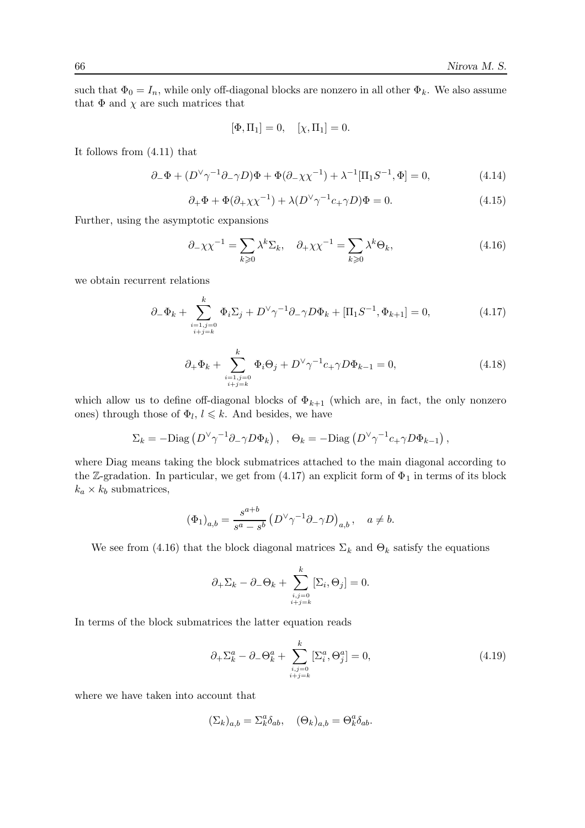such that  $\Phi_0 = I_n$ , while only off-diagonal blocks are nonzero in all other  $\Phi_k$ . We also assume that  $\Phi$  and  $\chi$  are such matrices that

$$
[\Phi, \Pi_1] = 0, \quad [\chi, \Pi_1] = 0.
$$

It follows from (4.11) that

$$
\partial_- \Phi + (D^\vee \gamma^{-1} \partial_- \gamma D) \Phi + \Phi (\partial_- \chi \chi^{-1}) + \lambda^{-1} [\Pi_1 S^{-1}, \Phi] = 0,\tag{4.14}
$$

$$
\partial_+ \Phi + \Phi (\partial_+ \chi \chi^{-1}) + \lambda (D^\vee \gamma^{-1} c_+ \gamma D) \Phi = 0. \tag{4.15}
$$

Further, using the asymptotic expansions

$$
\partial_{-\chi\chi}^{-1} = \sum_{k\geq 0} \lambda^k \Sigma_k, \quad \partial_{+\chi\chi}^{-1} = \sum_{k\geq 0} \lambda^k \Theta_k,\tag{4.16}
$$

we obtain recurrent relations

$$
\partial_{-}\Phi_{k} + \sum_{\substack{i=1,j=0 \ i+j=k}}^{k} \Phi_{i} \Sigma_{j} + D^{\vee} \gamma^{-1} \partial_{-} \gamma D \Phi_{k} + [\Pi_{1} S^{-1}, \Phi_{k+1}] = 0, \qquad (4.17)
$$

$$
\partial_{+} \Phi_{k} + \sum_{\substack{i=1, j=0 \ i+j=k}}^{k} \Phi_{i} \Theta_{j} + D^{\vee} \gamma^{-1} c_{+} \gamma D \Phi_{k-1} = 0, \qquad (4.18)
$$

which allow us to define off-diagonal blocks of  $\Phi_{k+1}$  (which are, in fact, the only nonzero ones) through those of  $\Phi_l, l \leq k$ . And besides, we have

$$
\Sigma_k = -\mathrm{Diag}\left(D^\vee \gamma^{-1}\partial_- \gamma D\Phi_k\right), \quad \Theta_k = -\mathrm{Diag}\left(D^\vee \gamma^{-1} c_+ \gamma D\Phi_{k-1}\right),
$$

where Diag means taking the block submatrices attached to the main diagonal according to the Z-gradation. In particular, we get from  $(4.17)$  an explicit form of  $\Phi_1$  in terms of its block  $k_a \times k_b$  submatrices,

$$
\left(\Phi_1\right)_{a,b} = \frac{s^{a+b}}{s^a - s^b} \left(D^\vee \gamma^{-1} \partial_- \gamma D\right)_{a,b}, \quad a \neq b.
$$

We see from (4.16) that the block diagonal matrices  $\Sigma_k$  and  $\Theta_k$  satisfy the equations

$$
\partial_{+}\Sigma_{k} - \partial_{-}\Theta_{k} + \sum_{\substack{i,j=0 \ i+j=k}}^{k} [\Sigma_{i}, \Theta_{j}] = 0.
$$

In terms of the block submatrices the latter equation reads

$$
\partial_{+} \Sigma_{k}^{a} - \partial_{-} \Theta_{k}^{a} + \sum_{\substack{i,j=0 \ i+j=k}}^{k} [\Sigma_{i}^{a}, \Theta_{j}^{a}] = 0,
$$
\n(4.19)

where we have taken into account that

$$
(\Sigma_k)_{a,b} = \Sigma_k^a \delta_{ab}, \quad (\Theta_k)_{a,b} = \Theta_k^a \delta_{ab}.
$$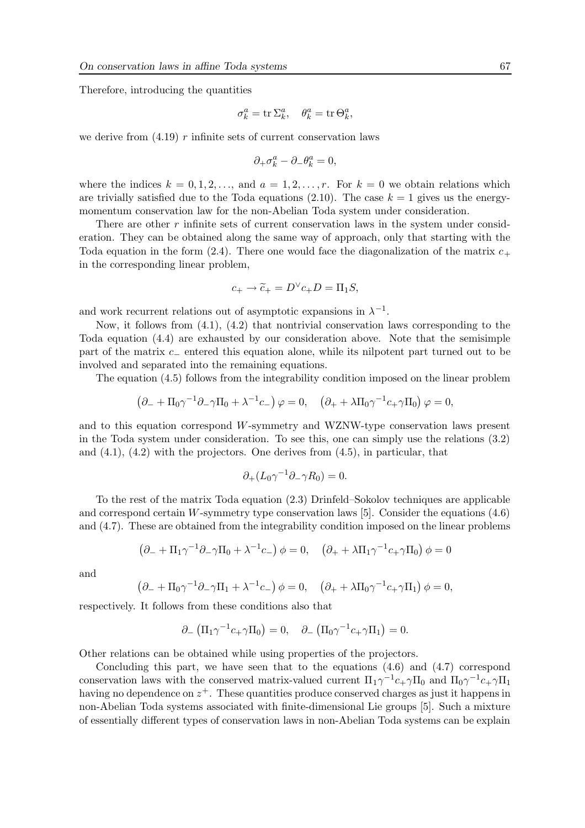Therefore, introducing the quantities

$$
\sigma_k^a = \operatorname{tr} \Sigma_k^a, \quad \theta_k^a = \operatorname{tr} \Theta_k^a,
$$

we derive from  $(4.19)$  r infinite sets of current conservation laws

$$
\partial_+\sigma^a_k-\partial_-\theta^a_k=0,
$$

where the indices  $k = 0, 1, 2, \ldots$ , and  $a = 1, 2, \ldots, r$ . For  $k = 0$  we obtain relations which are trivially satisfied due to the Toda equations (2.10). The case  $k = 1$  gives us the energymomentum conservation law for the non-Abelian Toda system under consideration.

There are other  $r$  infinite sets of current conservation laws in the system under consideration. They can be obtained along the same way of approach, only that starting with the Toda equation in the form (2.4). There one would face the diagonalization of the matrix  $c_+$ in the corresponding linear problem,

$$
c_+ \to \widetilde{c}_+ = D^{\vee} c_+ D = \Pi_1 S,
$$

and work recurrent relations out of asymptotic expansions in  $\lambda^{-1}$ .

Now, it follows from (4.1), (4.2) that nontrivial conservation laws corresponding to the Toda equation (4.4) are exhausted by our consideration above. Note that the semisimple part of the matrix c<sup>−</sup> entered this equation alone, while its nilpotent part turned out to be involved and separated into the remaining equations.

The equation (4.5) follows from the integrability condition imposed on the linear problem

$$
\left(\partial_- + \Pi_0 \gamma^{-1} \partial_- \gamma \Pi_0 + \lambda^{-1} c_-\right) \varphi = 0, \quad \left(\partial_+ + \lambda \Pi_0 \gamma^{-1} c_+ \gamma \Pi_0\right) \varphi = 0,
$$

and to this equation correspond W-symmetry and WZNW-type conservation laws present in the Toda system under consideration. To see this, one can simply use the relations (3.2) and  $(4.1)$ ,  $(4.2)$  with the projectors. One derives from  $(4.5)$ , in particular, that

$$
\partial_+(L_0\gamma^{-1}\partial_-\gamma R_0)=0.
$$

To the rest of the matrix Toda equation (2.3) Drinfeld–Sokolov techniques are applicable and correspond certain W-symmetry type conservation laws [5]. Consider the equations  $(4.6)$ and (4.7). These are obtained from the integrability condition imposed on the linear problems

$$
(\partial_- + \Pi_1 \gamma^{-1} \partial_- \gamma \Pi_0 + \lambda^{-1} c_-) \phi = 0, \quad (\partial_+ + \lambda \Pi_1 \gamma^{-1} c_+ \gamma \Pi_0) \phi = 0
$$

and

$$
(\partial_- + \Pi_0 \gamma^{-1} \partial_- \gamma \Pi_1 + \lambda^{-1} c_-) \phi = 0, \quad (\partial_+ + \lambda \Pi_0 \gamma^{-1} c_+ \gamma \Pi_1) \phi = 0,
$$

respectively. It follows from these conditions also that

$$
\partial_{-} (\Pi_1 \gamma^{-1} c_{+} \gamma \Pi_0) = 0, \quad \partial_{-} (\Pi_0 \gamma^{-1} c_{+} \gamma \Pi_1) = 0.
$$

Other relations can be obtained while using properties of the projectors.

Concluding this part, we have seen that to the equations  $(4.6)$  and  $(4.7)$  correspond conservation laws with the conserved matrix-valued current  $\Pi_1 \gamma^{-1} c_+ \gamma \Pi_0$  and  $\Pi_0 \gamma^{-1} c_+ \gamma \Pi_1$ having no dependence on  $z^+$ . These quantities produce conserved charges as just it happens in non-Abelian Toda systems associated with finite-dimensional Lie groups [5]. Such a mixture of essentially different types of conservation laws in non-Abelian Toda systems can be explain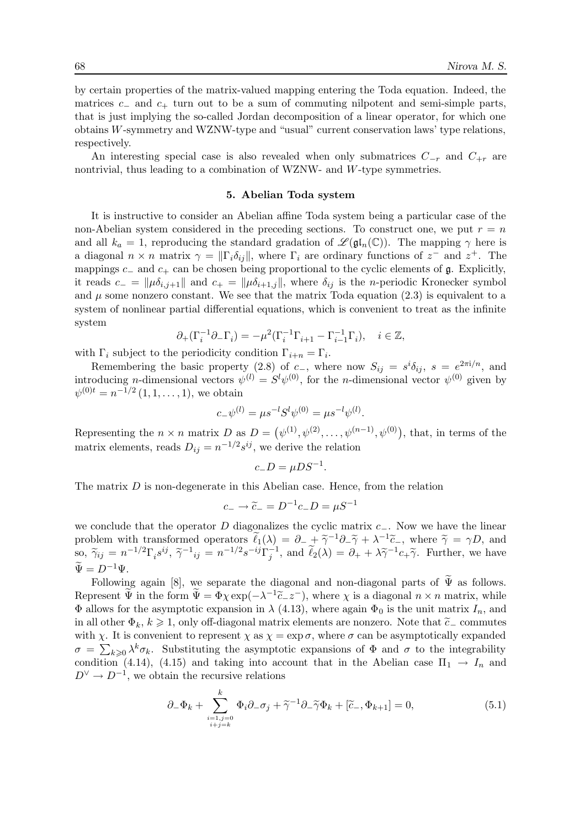by certain properties of the matrix-valued mapping entering the Toda equation. Indeed, the matrices  $c_$  and  $c_+$  turn out to be a sum of commuting nilpotent and semi-simple parts, that is just implying the so-called Jordan decomposition of a linear operator, for which one obtains  $W$ -symmetry and WZNW-type and "usual" current conservation laws' type relations, respectively.

An interesting special case is also revealed when only submatrices  $C_{-r}$  and  $C_{+r}$  are nontrivial, thus leading to a combination of WZNW- and W-type symmetries.

### 5. Abelian Toda system

It is instructive to consider an Abelian affine Toda system being a particular case of the non-Abelian system considered in the preceding sections. To construct one, we put  $r = n$ and all  $k_a = 1$ , reproducing the standard gradation of  $\mathscr{L}(\mathfrak{gl}_n(\mathbb{C}))$ . The mapping  $\gamma$  here is a diagonal  $n \times n$  matrix  $\gamma = ||\Gamma_i \delta_{ij}||$ , where  $\Gamma_i$  are ordinary functions of  $z^-$  and  $z^+$ . The mappings  $c_-\$  and  $c_+\$  can be chosen being proportional to the cyclic elements of  $\mathfrak{g}$ . Explicitly, it reads  $c_-=\|\mu\delta_{i,j+1}\|$  and  $c_+=\|\mu\delta_{i+1,j}\|$ , where  $\delta_{ij}$  is the *n*-periodic Kronecker symbol and  $\mu$  some nonzero constant. We see that the matrix Toda equation (2.3) is equivalent to a system of nonlinear partial differential equations, which is convenient to treat as the infinite system

$$
\partial_+(\Gamma_i^{-1}\partial_-\Gamma_i) = -\mu^2(\Gamma_i^{-1}\Gamma_{i+1} - \Gamma_{i-1}^{-1}\Gamma_i), \quad i \in \mathbb{Z},
$$

with  $\Gamma_i$  subject to the periodicity condition  $\Gamma_{i+n} = \Gamma_i$ .

Remembering the basic property (2.8) of c\_, where now  $S_{ij} = s^i \delta_{ij}$ ,  $s = e^{2\pi i/n}$ , and introducing *n*-dimensional vectors  $\psi^{(l)} = S^l \psi^{(0)}$ , for the *n*-dimensional vector  $\psi^{(0)}$  given by  $\psi^{(0)t} = n^{-1/2} (1, 1, \dots, 1)$ , we obtain

$$
c_{-}\psi^{(l)} = \mu s^{-l} S^{l} \psi^{(0)} = \mu s^{-l} \psi^{(l)}.
$$

Representing the  $n \times n$  matrix D as  $D = (\psi^{(1)}, \psi^{(2)}, \dots, \psi^{(n-1)}, \psi^{(0)})$ , that, in terms of the matrix elements, reads  $D_{ij} = n^{-1/2} s^{ij}$ , we derive the relation

$$
c_-D=\mu DS^{-1}.
$$

The matrix  $D$  is non-degenerate in this Abelian case. Hence, from the relation

$$
c_- \to \tilde{c}_- = D^{-1} c_- D = \mu S^{-1}
$$

we conclude that the operator D diagonalizes the cyclic matrix  $c_-\$ . Now we have the linear problem with transformed operators  $\ell_1(\lambda) = \partial_- + \tilde{\gamma}^{-1}\partial_-\tilde{\gamma} + \lambda^{-1}\tilde{c}_-,$  where  $\tilde{\gamma} = \gamma D$ , and  $\tilde{\gamma} = -1/2$   $\tilde{\gamma} = -1/2$   $\tilde{\gamma} = -1/2$   $\tilde{\gamma} = -1/2$   $\tilde{\gamma} = -1/2$   $\tilde{\gamma} = -1/2$   $\tilde{\gamma} = -1/2$   $\tilde{\gamma} = -1/2$   $\tilde{\gamma$ so,  $\tilde{\gamma}_{ij} = n^{-1/2} \Gamma_i s^{ij}, \tilde{\gamma}^{-1}_{ij} = n^{-1/2} s^{-ij} \Gamma_j^{-1}, \text{ and } \tilde{\ell}_2(\lambda) = \partial_+ + \lambda \tilde{\gamma}^{-1} c_+ \tilde{\gamma}.$  Further, we have  $\widetilde{\Psi} = D^{-1}\Psi$ 

Following again [8], we separate the diagonal and non-diagonal parts of  $\tilde{\Psi}$  as follows. Represent  $\widetilde{\Psi}$  in the form  $\widetilde{\Psi} = \Phi \chi \exp(-\lambda^{-1} \widetilde{c}_- z^-)$ , where  $\chi$  is a diagonal  $n \times n$  matrix, while  $\Phi$  allows for the asymptotic expansion in  $\lambda$  (4.13), where again  $\Phi_0$  is the unit matrix  $I_n$ , and in all other  $\Phi_k$ ,  $k \geq 1$ , only off-diagonal matrix elements are nonzero. Note that  $\tilde{c}_-$  commutes with  $\chi$ . It is convenient to represent  $\chi$  as  $\chi = \exp \sigma$ , where  $\sigma$  can be asymptotically expanded  $\sigma = \sum_{k\geqslant 0} \lambda^k \sigma_k$ . Substituting the asymptotic expansions of  $\Phi$  and  $\sigma$  to the integrability condition (4.14), (4.15) and taking into account that in the Abelian case  $\Pi_1 \to I_n$  and  $D^{\vee} \to D^{-1}$ , we obtain the recursive relations

$$
\partial_{-}\Phi_{k} + \sum_{\substack{i=1,j=0 \ i+j=k}}^{k} \Phi_{i}\partial_{-}\sigma_{j} + \widetilde{\gamma}^{-1}\partial_{-}\widetilde{\gamma}\Phi_{k} + [\widetilde{c}_{-},\Phi_{k+1}] = 0, \tag{5.1}
$$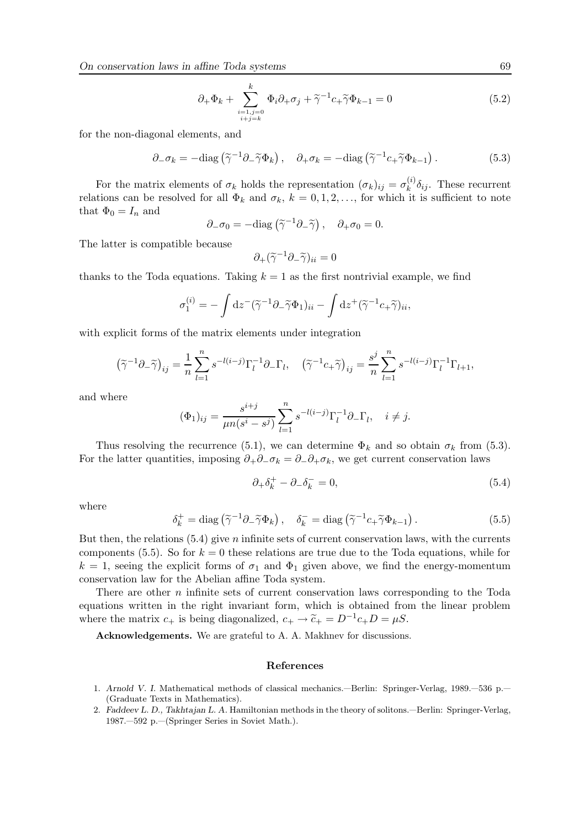$$
\partial_{+}\Phi_{k} + \sum_{\substack{i=1,j=0 \ i+j=k}}^{k} \Phi_{i}\partial_{+}\sigma_{j} + \widetilde{\gamma}^{-1}c_{+}\widetilde{\gamma}\Phi_{k-1} = 0
$$
\n(5.2)

for the non-diagonal elements, and

$$
\partial_{-}\sigma_{k} = -\text{diag}\left(\tilde{\gamma}^{-1}\partial_{-}\tilde{\gamma}\Phi_{k}\right), \quad \partial_{+}\sigma_{k} = -\text{diag}\left(\tilde{\gamma}^{-1}c_{+}\tilde{\gamma}\Phi_{k-1}\right). \tag{5.3}
$$

For the matrix elements of  $\sigma_k$  holds the representation  $(\sigma_k)_{ij} = \sigma_k^{(i)}$  $\int_k^{(i)} \delta_{ij}$ . These recurrent relations can be resolved for all  $\Phi_k$  and  $\sigma_k$ ,  $k = 0, 1, 2, \ldots$ , for which it is sufficient to note that  $\Phi_0 = I_n$  and

$$
\partial_{-\sigma_0} = -\text{diag}\left(\tilde{\gamma}^{-1}\partial_{-\tilde{\gamma}}\right), \quad \partial_{+\sigma_0} = 0.
$$

The latter is compatible because

$$
\partial_+(\widetilde{\gamma}^{-1}\partial_-\widetilde{\gamma})_{ii}=0
$$

thanks to the Toda equations. Taking  $k = 1$  as the first nontrivial example, we find

$$
\sigma_1^{(i)} = -\int dz^-(\widetilde{\gamma}^{-1}\partial_-\widetilde{\gamma}\Phi_1)_{ii} - \int dz^+(\widetilde{\gamma}^{-1}c_+\widetilde{\gamma})_{ii},
$$

with explicit forms of the matrix elements under integration

$$
\left(\widetilde{\gamma}^{-1}\partial_-\widetilde{\gamma}\right)_{ij}=\frac{1}{n}\sum_{l=1}^n s^{-l(i-j)}\Gamma_l^{-1}\partial_-\Gamma_l,\quad \left(\widetilde{\gamma}^{-1}c_+\widetilde{\gamma}\right)_{ij}=\frac{s^j}{n}\sum_{l=1}^n s^{-l(i-j)}\Gamma_l^{-1}\Gamma_{l+1},
$$

and where

$$
(\Phi_1)_{ij} = \frac{s^{i+j}}{\mu n (s^i - s^j)} \sum_{l=1}^n s^{-l(i-j)} \Gamma_l^{-1} \partial_- \Gamma_l, \quad i \neq j.
$$

Thus resolving the recurrence (5.1), we can determine  $\Phi_k$  and so obtain  $\sigma_k$  from (5.3). For the latter quantities, imposing  $\partial_+\partial_-\sigma_k = \partial_-\partial_+\sigma_k$ , we get current conservation laws

$$
\partial_+ \delta_k^+ - \partial_- \delta_k^- = 0,\tag{5.4}
$$

where

$$
\delta_k^+ = \text{diag}\left(\tilde{\gamma}^{-1}\partial_-\tilde{\gamma}\Phi_k\right), \quad \delta_k^- = \text{diag}\left(\tilde{\gamma}^{-1}c_+\tilde{\gamma}\Phi_{k-1}\right). \tag{5.5}
$$

But then, the relations  $(5.4)$  give n infinite sets of current conservation laws, with the currents components (5.5). So for  $k = 0$  these relations are true due to the Toda equations, while for  $k = 1$ , seeing the explicit forms of  $\sigma_1$  and  $\Phi_1$  given above, we find the energy-momentum conservation law for the Abelian affine Toda system.

There are other  $n$  infinite sets of current conservation laws corresponding to the Toda equations written in the right invariant form, which is obtained from the linear problem where the matrix  $c_+$  is being diagonalized,  $c_+ \to \tilde{c}_+ = D^{-1}c_+D = \mu S$ .

Acknowledgements. We are grateful to A. A. Makhnev for discussions.

### References

- 1. Arnold V. I. Mathematical methods of classical mechanics.—Berlin: Springer-Verlag, 1989.—536 p.— (Graduate Texts in Mathematics).
- 2. Faddeev L. D., Takhtajan L. A. Hamiltonian methods in the theory of solitons.—Berlin: Springer-Verlag, 1987.—592 p.—(Springer Series in Soviet Math.).